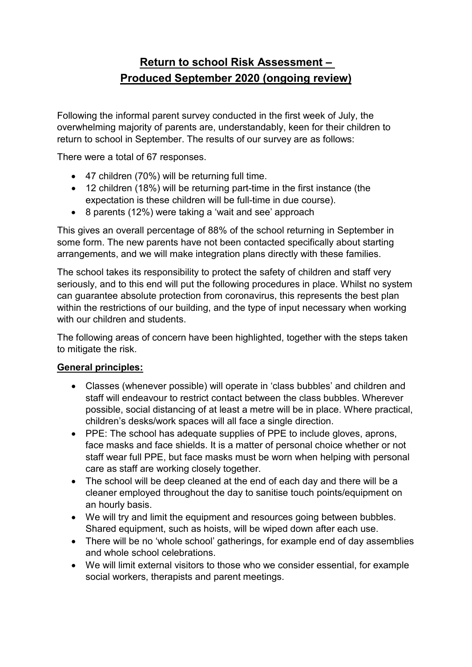# **Return to school Risk Assessment – Produced September 2020 (ongoing review)**

Following the informal parent survey conducted in the first week of July, the overwhelming majority of parents are, understandably, keen for their children to return to school in September. The results of our survey are as follows:

There were a total of 67 responses.

- 47 children (70%) will be returning full time.
- 12 children (18%) will be returning part-time in the first instance (the expectation is these children will be full-time in due course).
- 8 parents (12%) were taking a 'wait and see' approach

This gives an overall percentage of 88% of the school returning in September in some form. The new parents have not been contacted specifically about starting arrangements, and we will make integration plans directly with these families.

The school takes its responsibility to protect the safety of children and staff very seriously, and to this end will put the following procedures in place. Whilst no system can guarantee absolute protection from coronavirus, this represents the best plan within the restrictions of our building, and the type of input necessary when working with our children and students.

The following areas of concern have been highlighted, together with the steps taken to mitigate the risk.

# **General principles:**

- Classes (whenever possible) will operate in 'class bubbles' and children and staff will endeavour to restrict contact between the class bubbles. Wherever possible, social distancing of at least a metre will be in place. Where practical, children's desks/work spaces will all face a single direction.
- PPE: The school has adequate supplies of PPE to include gloves, aprons, face masks and face shields. It is a matter of personal choice whether or not staff wear full PPE, but face masks must be worn when helping with personal care as staff are working closely together.
- The school will be deep cleaned at the end of each day and there will be a cleaner employed throughout the day to sanitise touch points/equipment on an hourly basis.
- We will try and limit the equipment and resources going between bubbles. Shared equipment, such as hoists, will be wiped down after each use.
- There will be no 'whole school' gatherings, for example end of day assemblies and whole school celebrations.
- We will limit external visitors to those who we consider essential, for example social workers, therapists and parent meetings.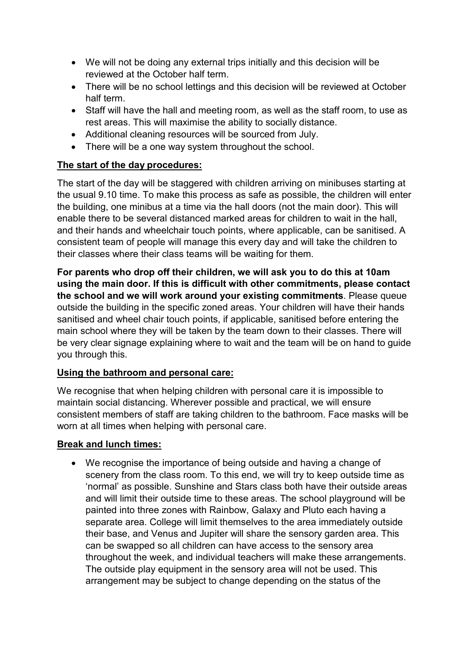- We will not be doing any external trips initially and this decision will be reviewed at the October half term.
- There will be no school lettings and this decision will be reviewed at October half term.
- Staff will have the hall and meeting room, as well as the staff room, to use as rest areas. This will maximise the ability to socially distance.
- Additional cleaning resources will be sourced from July.
- There will be a one way system throughout the school.

### **The start of the day procedures:**

The start of the day will be staggered with children arriving on minibuses starting at the usual 9.10 time. To make this process as safe as possible, the children will enter the building, one minibus at a time via the hall doors (not the main door). This will enable there to be several distanced marked areas for children to wait in the hall, and their hands and wheelchair touch points, where applicable, can be sanitised. A consistent team of people will manage this every day and will take the children to their classes where their class teams will be waiting for them.

**For parents who drop off their children, we will ask you to do this at 10am using the main door. If this is difficult with other commitments, please contact the school and we will work around your existing commitments**. Please queue outside the building in the specific zoned areas. Your children will have their hands sanitised and wheel chair touch points, if applicable, sanitised before entering the main school where they will be taken by the team down to their classes. There will be very clear signage explaining where to wait and the team will be on hand to guide you through this.

### **Using the bathroom and personal care:**

We recognise that when helping children with personal care it is impossible to maintain social distancing. Wherever possible and practical, we will ensure consistent members of staff are taking children to the bathroom. Face masks will be worn at all times when helping with personal care.

### **Break and lunch times:**

• We recognise the importance of being outside and having a change of scenery from the class room. To this end, we will try to keep outside time as 'normal' as possible. Sunshine and Stars class both have their outside areas and will limit their outside time to these areas. The school playground will be painted into three zones with Rainbow, Galaxy and Pluto each having a separate area. College will limit themselves to the area immediately outside their base, and Venus and Jupiter will share the sensory garden area. This can be swapped so all children can have access to the sensory area throughout the week, and individual teachers will make these arrangements. The outside play equipment in the sensory area will not be used. This arrangement may be subject to change depending on the status of the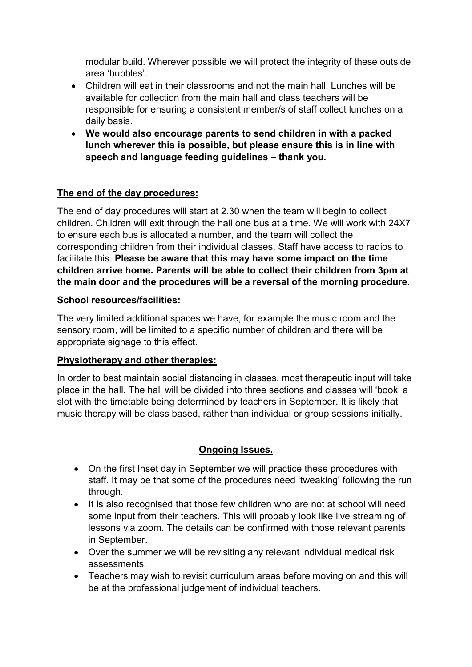modular build. Wherever possible we will protect the integrity of these outside area 'bubbles'.

- Children will eat in their classrooms and not the main hall. Lunches will be available for collection from the main hall and class teachers will be responsible for ensuring a consistent member/s of staff collect lunches on a daily basis.
- **We would also encourage parents to send children in with a packed lunch wherever this is possible, but please ensure this is in line with speech and language feeding guidelines – thank you.**

### **The end of the day procedures:**

The end of day procedures will start at 2.30 when the team will begin to collect children. Children will exit through the hall one bus at a time. We will work with 24X7 to ensure each bus is allocated a number, and the team will collect the corresponding children from their individual classes. Staff have access to radios to facilitate this. **Please be aware that this may have some impact on the time children arrive home. Parents will be able to collect their children from 3pm at the main door and the procedures will be a reversal of the morning procedure.**

### **School resources/facilities:**

The very limited additional spaces we have, for example the music room and the sensory room, will be limited to a specific number of children and there will be appropriate signage to this effect.

### **Physiotherapy and other therapies:**

In order to best maintain social distancing in classes, most therapeutic input will take place in the hall. The hall will be divided into three sections and classes will 'book' a slot with the timetable being determined by teachers in September. It is likely that music therapy will be class based, rather than individual or group sessions initially.

# **Ongoing Issues.**

- On the first Inset day in September we will practice these procedures with staff. It may be that some of the procedures need 'tweaking' following the run through.
- It is also recognised that those few children who are not at school will need some input from their teachers. This will probably look like live streaming of lessons via zoom. The details can be confirmed with those relevant parents in September.
- Over the summer we will be revisiting any relevant individual medical risk assessments.
- Teachers may wish to revisit curriculum areas before moving on and this will be at the professional judgement of individual teachers.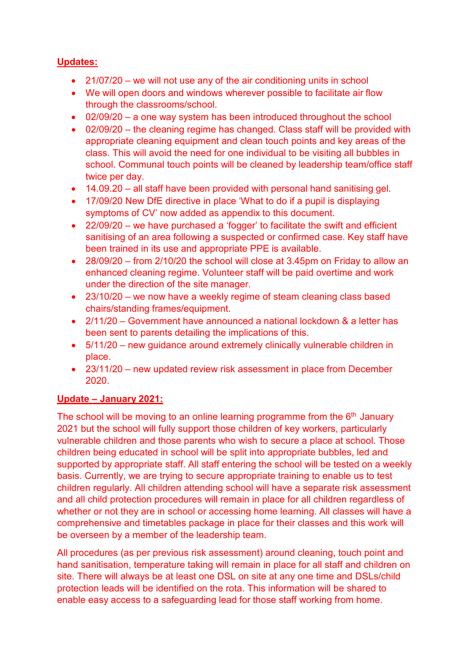# **Updates:**

- 21/07/20 we will not use any of the air conditioning units in school
- We will open doors and windows wherever possible to facilitate air flow through the classrooms/school.
- 02/09/20 a one way system has been introduced throughout the school
- 02/09/20 the cleaning regime has changed. Class staff will be provided with appropriate cleaning equipment and clean touch points and key areas of the class. This will avoid the need for one individual to be visiting all bubbles in school. Communal touch points will be cleaned by leadership team/office staff twice per day.
- 14.09.20 all staff have been provided with personal hand sanitising gel.
- 17/09/20 New DfE directive in place 'What to do if a pupil is displaying symptoms of CV' now added as appendix to this document.
- 22/09/20 we have purchased a 'fogger' to facilitate the swift and efficient sanitising of an area following a suspected or confirmed case. Key staff have been trained in its use and appropriate PPE is available.
- 28/09/20 from 2/10/20 the school will close at 3.45pm on Friday to allow an enhanced cleaning regime. Volunteer staff will be paid overtime and work under the direction of the site manager.
- 23/10/20 we now have a weekly regime of steam cleaning class based chairs/standing frames/equipment.
- 2/11/20 Government have announced a national lockdown & a letter has been sent to parents detailing the implications of this.
- 5/11/20 new guidance around extremely clinically vulnerable children in place.
- 23/11/20 new updated review risk assessment in place from December 2020.

# **Update – January 2021:**

The school will be moving to an online learning programme from the  $6<sup>th</sup>$  January 2021 but the school will fully support those children of key workers, particularly vulnerable children and those parents who wish to secure a place at school. Those children being educated in school will be split into appropriate bubbles, led and supported by appropriate staff. All staff entering the school will be tested on a weekly basis. Currently, we are trying to secure appropriate training to enable us to test children regularly. All children attending school will have a separate risk assessment and all child protection procedures will remain in place for all children regardless of whether or not they are in school or accessing home learning. All classes will have a comprehensive and timetables package in place for their classes and this work will be overseen by a member of the leadership team.

All procedures (as per previous risk assessment) around cleaning, touch point and hand sanitisation, temperature taking will remain in place for all staff and children on site. There will always be at least one DSL on site at any one time and DSLs/child protection leads will be identified on the rota. This information will be shared to enable easy access to a safeguarding lead for those staff working from home.